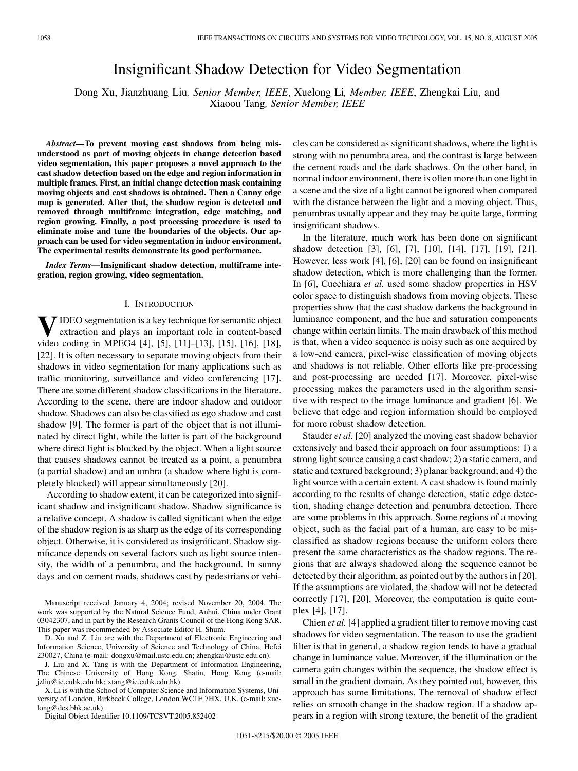# Insignificant Shadow Detection for Video Segmentation

Dong Xu, Jianzhuang Liu*, Senior Member, IEEE*, Xuelong Li*, Member, IEEE*, Zhengkai Liu, and Xiaoou Tang*, Senior Member, IEEE*

*Abstract—***To prevent moving cast shadows from being misunderstood as part of moving objects in change detection based video segmentation, this paper proposes a novel approach to the cast shadow detection based on the edge and region information in multiple frames. First, an initial change detection mask containing moving objects and cast shadows is obtained. Then a Canny edge map is generated. After that, the shadow region is detected and removed through multiframe integration, edge matching, and region growing. Finally, a post processing procedure is used to eliminate noise and tune the boundaries of the objects. Our approach can be used for video segmentation in indoor environment. The experimental results demonstrate its good performance.**

*Index Terms—***Insignificant shadow detection, multiframe integration, region growing, video segmentation.**

### I. INTRODUCTION

**V**IDEO segmentation is a key technique for semantic object<br>extraction and plays an important role in content-based<br>wideo ording in MDECA [4], [5], [11], [12], [15], [16], [19] video coding in MPEG4 [[4\]](#page-6-0), [[5\]](#page-6-0), [[11\]](#page-6-0)–[\[13](#page-6-0)], [\[15](#page-6-0)], [\[16](#page-6-0)], [\[18](#page-6-0)], [\[22](#page-6-0)]. It is often necessary to separate moving objects from their shadows in video segmentation for many applications such as traffic monitoring, surveillance and video conferencing [\[17](#page-6-0)]. There are some different shadow classifications in the literature. According to the scene, there are indoor shadow and outdoor shadow. Shadows can also be classified as ego shadow and cast shadow [[9\]](#page-6-0). The former is part of the object that is not illuminated by direct light, while the latter is part of the background where direct light is blocked by the object. When a light source that causes shadows cannot be treated as a point, a penumbra (a partial shadow) and an umbra (a shadow where light is completely blocked) will appear simultaneously [[20\]](#page-6-0).

According to shadow extent, it can be categorized into significant shadow and insignificant shadow. Shadow significance is a relative concept. A shadow is called significant when the edge of the shadow region is as sharp as the edge of its corresponding object. Otherwise, it is considered as insignificant. Shadow significance depends on several factors such as light source intensity, the width of a penumbra, and the background. In sunny days and on cement roads, shadows cast by pedestrians or vehi-

Manuscript received January 4, 2004; revised November 20, 2004. The work was supported by the Natural Science Fund, Anhui, China under Grant 03042307, and in part by the Research Grants Council of the Hong Kong SAR. This paper was recommended by Associate Editor H. Shum.

D. Xu and Z. Liu are with the Department of Electronic Engineering and Information Science, University of Science and Technology of China, Hefei 230027, China (e-mail: dongxu@mail.ustc.edu.cn; zhengkai@ustc.edu.cn).

J. Liu and X. Tang is with the Department of Information Engineering, The Chinese University of Hong Kong, Shatin, Hong Kong (e-mail: jzliu@ie.cuhk.edu.hk; xtang@ie.cuhk.edu.hk).

X. Li is with the School of Computer Science and Information Systems, University of London, Birkbeck College, London WC1E 7HX, U.K. (e-mail: xuelong@dcs.bbk.ac.uk).

Digital Object Identifier 10.1109/TCSVT.2005.852402

cles can be considered as significant shadows, where the light is strong with no penumbra area, and the contrast is large between the cement roads and the dark shadows. On the other hand, in normal indoor environment, there is often more than one light in a scene and the size of a light cannot be ignored when compared with the distance between the light and a moving object. Thus, penumbras usually appear and they may be quite large, forming insignificant shadows.

In the literature, much work has been done on significant shadow detection [\[3](#page-6-0)], [[6\]](#page-6-0), [\[7](#page-6-0)], [\[10](#page-6-0)], [[14\]](#page-6-0), [[17\]](#page-6-0), [\[19](#page-6-0)], [\[21](#page-6-0)]. However, less work [[4\]](#page-6-0), [[6\]](#page-6-0), [[20\]](#page-6-0) can be found on insignificant shadow detection, which is more challenging than the former. In [\[6](#page-6-0)], Cucchiara *et al.* used some shadow properties in HSV color space to distinguish shadows from moving objects. These properties show that the cast shadow darkens the background in luminance component, and the hue and saturation components change within certain limits. The main drawback of this method is that, when a video sequence is noisy such as one acquired by a low-end camera, pixel-wise classification of moving objects and shadows is not reliable. Other efforts like pre-processing and post-processing are needed [\[17](#page-6-0)]. Moreover, pixel-wise processing makes the parameters used in the algorithm sensitive with respect to the image luminance and gradient [\[6](#page-6-0)]. We believe that edge and region information should be employed for more robust shadow detection.

Stauder *et al.* [\[20](#page-6-0)] analyzed the moving cast shadow behavior extensively and based their approach on four assumptions: 1) a strong light source causing a cast shadow; 2) a static camera, and static and textured background; 3) planar background; and 4) the light source with a certain extent. A cast shadow is found mainly according to the results of change detection, static edge detection, shading change detection and penumbra detection. There are some problems in this approach. Some regions of a moving object, such as the facial part of a human, are easy to be misclassified as shadow regions because the uniform colors there present the same characteristics as the shadow regions. The regions that are always shadowed along the sequence cannot be detected by their algorithm, as pointed out by the authors in [\[20](#page-6-0)]. If the assumptions are violated, the shadow will not be detected correctly [\[17](#page-6-0)], [[20\]](#page-6-0). Moreover, the computation is quite complex [\[4](#page-6-0)], [[17\]](#page-6-0).

Chien *et al.* [\[4](#page-6-0)] applied a gradient filter to remove moving cast shadows for video segmentation. The reason to use the gradient filter is that in general, a shadow region tends to have a gradual change in luminance value. Moreover, if the illumination or the camera gain changes within the sequence, the shadow effect is small in the gradient domain. As they pointed out, however, this approach has some limitations. The removal of shadow effect relies on smooth change in the shadow region. If a shadow appears in a region with strong texture, the benefit of the gradient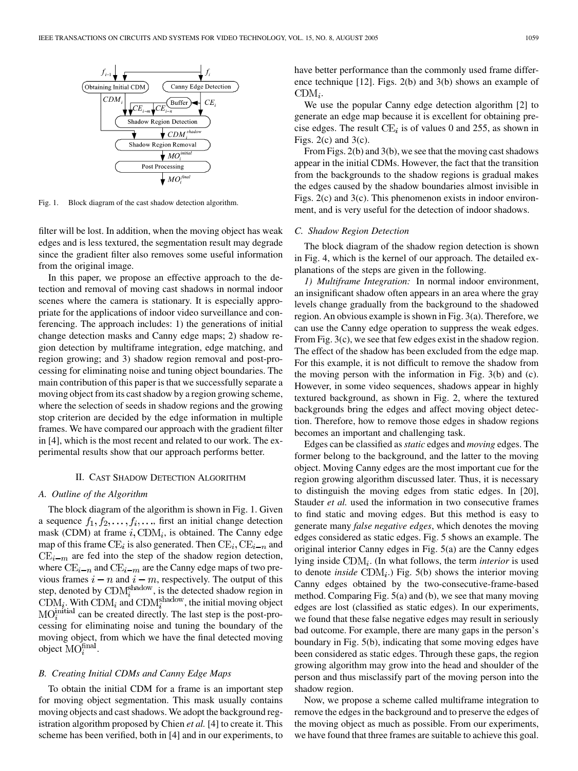

Fig. 1. Block diagram of the cast shadow detection algorithm.

filter will be lost. In addition, when the moving object has weak edges and is less textured, the segmentation result may degrade since the gradient filter also removes some useful information from the original image.

In this paper, we propose an effective approach to the detection and removal of moving cast shadows in normal indoor scenes where the camera is stationary. It is especially appropriate for the applications of indoor video surveillance and conferencing. The approach includes: 1) the generations of initial change detection masks and Canny edge maps; 2) shadow region detection by multiframe integration, edge matching, and region growing; and 3) shadow region removal and post-processing for eliminating noise and tuning object boundaries. The main contribution of this paper is that we successfully separate a moving object from its cast shadow by a region growing scheme, where the selection of seeds in shadow regions and the growing stop criterion are decided by the edge information in multiple frames. We have compared our approach with the gradient filter in [[4\]](#page-6-0), which is the most recent and related to our work. The experimental results show that our approach performs better.

#### II. CAST SHADOW DETECTION ALGORITHM

### *A. Outline of the Algorithm*

The block diagram of the algorithm is shown in Fig. 1. Given a sequence  $f_1, f_2, \ldots, f_i, \ldots$ , first an initial change detection mask (CDM) at frame  $i$ , CDM<sub>i</sub>, is obtained. The Canny edge map of this frame  $CE_i$  is also generated. Then  $CE_i, CE_{i-n}$  and  $CE_{i-m}$  are fed into the step of the shadow region detection, where  $CE_{i-n}$  and  $CE_{i-m}$  are the Canny edge maps of two previous frames  $i - n$  and  $i - m$ , respectively. The output of this step, denoted by  $CDM_i^{\text{shadow}}$ , is the detected shadow region in . With  $CDM_i$  and  $CDM_i^{\text{shadow}}$ , the initial moving object  $MO_i^{\text{initial}}$  can be created directly. The last step is the post-processing for eliminating noise and tuning the boundary of the moving object, from which we have the final detected moving object  $MO_i^{\text{final}}$ .

### *B. Creating Initial CDMs and Canny Edge Maps*

To obtain the initial CDM for a frame is an important step for moving object segmentation. This mask usually contains moving objects and cast shadows. We adopt the background registration algorithm proposed by Chien *et al.* [[4\]](#page-6-0) to create it. This scheme has been verified, both in [[4\]](#page-6-0) and in our experiments, to have better performance than the commonly used frame difference technique [\[12](#page-6-0)]. Figs. 2(b) and 3(b) shows an example of  $CDM_i$ .

We use the popular Canny edge detection algorithm [[2\]](#page-6-0) to generate an edge map because it is excellent for obtaining precise edges. The result  $CE<sub>i</sub>$  is of values 0 and 255, as shown in Figs.  $2(c)$  and  $3(c)$ .

From Figs. 2(b) and 3(b), we see that the moving cast shadows appear in the initial CDMs. However, the fact that the transition from the backgrounds to the shadow regions is gradual makes the edges caused by the shadow boundaries almost invisible in Figs. 2(c) and 3(c). This phenomenon exists in indoor environment, and is very useful for the detection of indoor shadows.

### *C. Shadow Region Detection*

The block diagram of the shadow region detection is shown in Fig. 4, which is the kernel of our approach. The detailed explanations of the steps are given in the following.

*1) Multiframe Integration:* In normal indoor environment, an insignificant shadow often appears in an area where the gray levels change gradually from the background to the shadowed region. An obvious example is shown in Fig. 3(a). Therefore, we can use the Canny edge operation to suppress the weak edges. From Fig. 3(c), we see that few edges exist in the shadow region. The effect of the shadow has been excluded from the edge map. For this example, it is not difficult to remove the shadow from the moving person with the information in Fig. 3(b) and (c). However, in some video sequences, shadows appear in highly textured background, as shown in Fig. 2, where the textured backgrounds bring the edges and affect moving object detection. Therefore, how to remove those edges in shadow regions becomes an important and challenging task.

Edges can be classified as *static* edges and *moving* edges. The former belong to the background, and the latter to the moving object. Moving Canny edges are the most important cue for the region growing algorithm discussed later. Thus, it is necessary to distinguish the moving edges from static edges. In [[20\]](#page-6-0), Stauder *et al.* used the information in two consecutive frames to find static and moving edges. But this method is easy to generate many *false negative edges*, which denotes the moving edges considered as static edges. Fig. 5 shows an example. The original interior Canny edges in Fig. 5(a) are the Canny edges lying inside  $CDM_i$ . (In what follows, the term *interior* is used to denote *inside* CDM<sub>i</sub>.) Fig. 5(b) shows the interior moving Canny edges obtained by the two-consecutive-frame-based method. Comparing Fig. 5(a) and (b), we see that many moving edges are lost (classified as static edges). In our experiments, we found that these false negative edges may result in seriously bad outcome. For example, there are many gaps in the person's boundary in Fig. 5(b), indicating that some moving edges have been considered as static edges. Through these gaps, the region growing algorithm may grow into the head and shoulder of the person and thus misclassify part of the moving person into the shadow region.

Now, we propose a scheme called multiframe integration to remove the edges in the background and to preserve the edges of the moving object as much as possible. From our experiments, we have found that three frames are suitable to achieve this goal.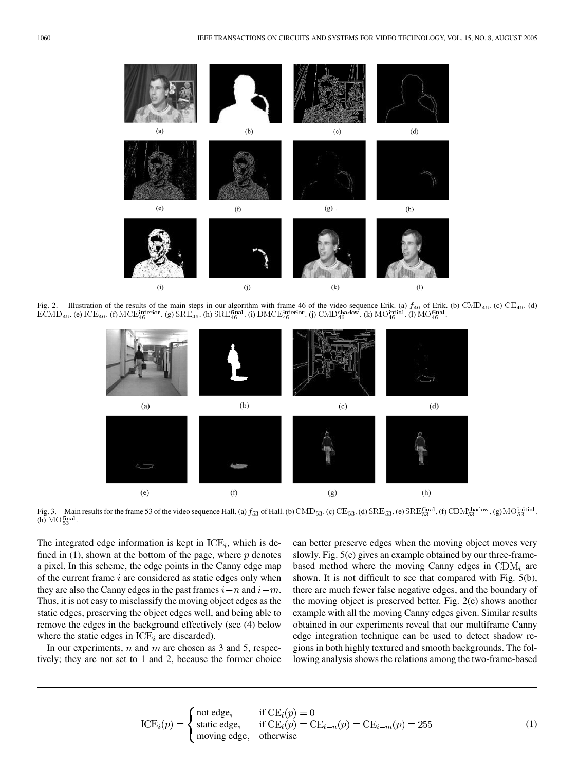

Fig. 2. Illustration of the results of the main steps in our algorithm with frame 46 of the video sequence Erik. (a)  $f_{46}$  of Erik. (b) CMD<sub>46</sub>. (c) CE<sub>46</sub>. (d)  $\text{ECMD}_{46}$ . (e)  $\text{ICE}_{46}$ . (f)  $\text{MCE}_{46}^{\text{interior}}$ . (g)  $\text{SRE}_{46}$ . (h)  $\text{SRE}_{46}^{\text{final}}$ . (i)  $\text{DMCE}_{46}^{\text{interior}}$ . (j)  $\text{CMD}_{46}^{\text{shadow}}$ . (k)  $\text{MO}_{46}^{\text{initial}}$ . (l)  $\text{MO}_{46}^{\text{final}}$ .



Fig. 3. Main results for the frame 53 of the video sequence Hall. (a)  $f_{53}$  of Hall. (b) CMD  $_{53}$ . (c) CE  $_{53}$ . (d) SRE $_{53}$ . (e) SRE $_{53}^{\text{final}}$ . (f) CDM $_{53}^{\text{signal}}$ . (g) MO $_{53}^{\text{total}}$ .  $(h) MO_{53}^{final}$ .

The integrated edge information is kept in  $ICE<sub>i</sub>$ , which is defined in (1), shown at the bottom of the page, where  $p$  denotes a pixel. In this scheme, the edge points in the Canny edge map of the current frame  $i$  are considered as static edges only when they are also the Canny edges in the past frames  $i - n$  and  $i - m$ . Thus, it is not easy to misclassify the moving object edges as the static edges, preserving the object edges well, and being able to remove the edges in the background effectively (see (4) below where the static edges in  $ICE<sub>i</sub>$  are discarded).

In our experiments,  $n$  and  $m$  are chosen as 3 and 5, respectively; they are not set to 1 and 2, because the former choice can better preserve edges when the moving object moves very slowly. Fig. 5(c) gives an example obtained by our three-framebased method where the moving Canny edges in  $CDM<sub>i</sub>$  are shown. It is not difficult to see that compared with Fig. 5(b), there are much fewer false negative edges, and the boundary of the moving object is preserved better. Fig. 2(e) shows another example with all the moving Canny edges given. Similar results obtained in our experiments reveal that our multiframe Canny edge integration technique can be used to detect shadow regions in both highly textured and smooth backgrounds. The following analysis shows the relations among the two-frame-based

(1)

$$
ICE_i(p) = \begin{cases} \text{not edge}, & \text{if } CE_i(p) = 0\\ \text{static edge}, & \text{if } CE_i(p) = CE_{i-n}(p) = CE_{i-m}(p) = 255\\ \text{moving edge}, & \text{otherwise} \end{cases}
$$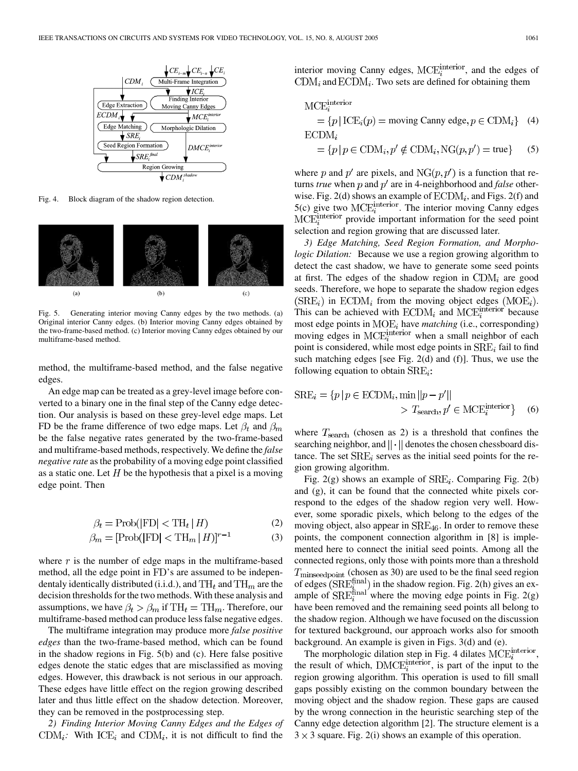

Fig. 4. Block diagram of the shadow region detection.



Fig. 5. Generating interior moving Canny edges by the two methods. (a) Original interior Canny edges. (b) Interior moving Canny edges obtained by the two-frame-based method. (c) Interior moving Canny edges obtained by our multiframe-based method.

method, the multiframe-based method, and the false negative edges.

An edge map can be treated as a grey-level image before converted to a binary one in the final step of the Canny edge detection. Our analysis is based on these grey-level edge maps. Let FD be the frame difference of two edge maps. Let  $\beta_t$  and  $\beta_m$ be the false negative rates generated by the two-frame-based and multiframe-based methods, respectively. We define the *false negative rate* as the probability of a moving edge point classified as a static one. Let  $H$  be the hypothesis that a pixel is a moving edge point. Then

$$
\beta_t = \text{Prob}(|\text{FD}| < \text{TH}_t | H) \tag{2}
$$

$$
\beta_m = [\text{Prob}([\text{FD}] < \text{TH}_m \, | \, H)]^{r-1} \tag{3}
$$

where  $r$  is the number of edge maps in the multiframe-based method, all the edge point in  $FD$ 's are assumed to be independentaly identically distributed (i.i.d.), and  $TH_t$  and  $TH_m$  are the decision thresholds for the two methods. With these analysis and assumptions, we have  $\beta_t > \beta_m$  if  $\mathrm{TH}_t = \mathrm{TH}_m$ . Therefore, our multiframe-based method can produce less false negative edges.

The multiframe integration may produce more *false positive edges* than the two-frame-based method, which can be found in the shadow regions in Fig. 5(b) and (c). Here false positive edges denote the static edges that are misclassified as moving edges. However, this drawback is not serious in our approach. These edges have little effect on the region growing described later and thus little effect on the shadow detection. Moreover, they can be removed in the postprocessing step.

*2) Finding Interior Moving Canny Edges and the Edges of*  $CDM_i$ : With  $ICE_i$  and  $CDM_i$ , it is not difficult to find the

interior moving Canny edges,  $MCE_i^{interior}$ , and the edges of  $CDM_i$  and  $ECDM_i$ . Two sets are defined for obtaining them

$$
\begin{aligned} \text{MCE}_{i}^{\text{interior}} &= \{p \mid \text{ICE}_{i}(p) = \text{moving Canny edge}, p \in \text{CDM}_{i}\} \quad (4) \\ \text{ECDM}_{i} &= \{p \mid p \in \text{CDM}_{i}, p' \notin \text{CDM}_{i}, \text{NG}(p, p') = \text{true}\} \end{aligned}
$$

where p and p' are pixels, and  $NG(p, p')$  is a function that returns *true* when p and  $p'$  are in 4-neighborhood and *false* otherwise. Fig. 2(d) shows an example of  $\mathrm{ECDM}_i$ , and Figs. 2(f) and 5(c) give two  $MCE_i^{\text{interior}}$ . The interior moving Canny edges  $MCE<sub>i</sub>$ <sup>interior</sup> provide important information for the seed point selection and region growing that are discussed later.

*3) Edge Matching, Seed Region Formation, and Morphologic Dilation:* Because we use a region growing algorithm to detect the cast shadow, we have to generate some seed points at first. The edges of the shadow region in  $CDM_i$  are good seeds. Therefore, we hope to separate the shadow region edges  $(SRE<sub>i</sub>)$  in ECDM<sub>i</sub> from the moving object edges  $(MOE<sub>i</sub>)$ . This can be achieved with  $\text{ECDM}_i$  and  $\text{MCE}_i^{\text{interior}}$  because most edge points in MOE<sub>i</sub> have *matching* (i.e., corresponding) moving edges in  $MCE_i^{\text{interior}}$  when a small neighbor of each point is considered, while most edge points in  $SRE_i$  fail to find such matching edges [see Fig. 2(d) and (f)]. Thus, we use the following equation to obtain  $SRE_i$ :

$$
SRE_i = \{p \mid p \in ECDM_i, \min \| |p - p'\|
$$
  
> T<sub>search</sub>, p' \in MCE<sub>i</sub><sup>interior</sup> \n(6)

where  $T_{\text{search}}$  (chosen as 2) is a threshold that confines the searching neighbor, and  $\|\cdot\|$  denotes the chosen chessboard distance. The set  $SRE_i$  serves as the initial seed points for the region growing algorithm.

Fig. 2(g) shows an example of  $SRE_i$ . Comparing Fig. 2(b) and (g), it can be found that the connected white pixels correspond to the edges of the shadow region very well. However, some sporadic pixels, which belong to the edges of the moving object, also appear in  $SRE_{46}$ . In order to remove these points, the component connection algorithm in [\[8](#page-6-0)] is implemented here to connect the initial seed points. Among all the connected regions, only those with points more than a threshold  $T_{\text{minseedpoint}}$  (chosen as 30) are used to be the final seed region of edges  $(SRE<sub>i</sub>$ final) in the shadow region. Fig. 2(h) gives an example of  $SRE_i^{\text{final}}$  where the moving edge points in Fig. 2(g) have been removed and the remaining seed points all belong to the shadow region. Although we have focused on the discussion for textured background, our approach works also for smooth background. An example is given in Figs. 3(d) and (e).

The morphologic dilation step in Fig. 4 dilates  $MCE<sub>i</sub>$ <sup>interior</sup>. the result of which,  $\text{DMCE}_{i}^{\text{interior}}$ , is part of the input to the region growing algorithm. This operation is used to fill small gaps possibly existing on the common boundary between the moving object and the shadow region. These gaps are caused by the wrong connection in the heuristic searching step of the Canny edge detection algorithm [[2\]](#page-6-0). The structure element is a  $3 \times 3$  square. Fig. 2(i) shows an example of this operation.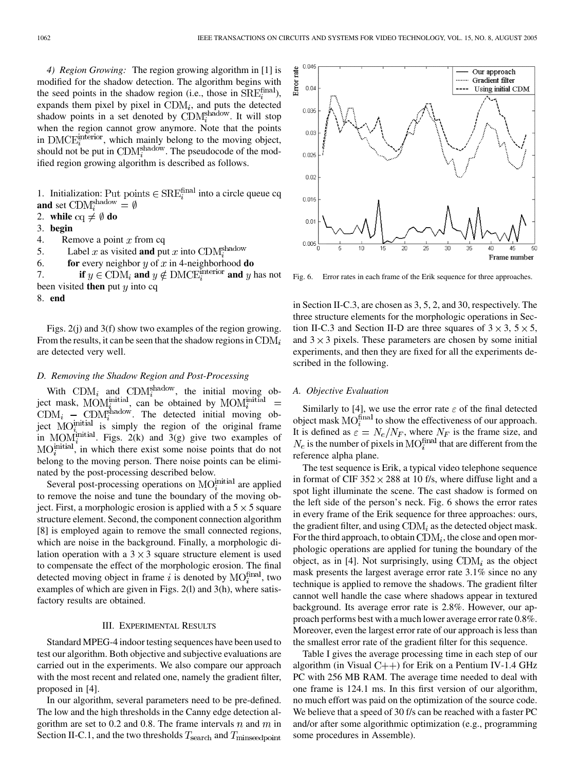*4) Region Growing:* The region growing algorithm in [[1\]](#page-6-0) is modified for the shadow detection. The algorithm begins with the seed points in the shadow region (i.e., those in  $SRE<sub>i</sub>^{\text{final}}$ ), expands them pixel by pixel in  $CDM_i$ , and puts the detected shadow points in a set denoted by  $CDM_i^{\text{shadow}}$ . It will stop when the region cannot grow anymore. Note that the points in  $DMCE<sub>i</sub>$ <sup>interior</sup>, which mainly belong to the moving object, should not be put in  $\text{CDM}_i^{\text{shadow}}$ . The pseudocode of the modified region growing algorithm is described as follows.

1. Initialization: Put points  $\in \text{SRE}_{i}^{\text{final}}$  into a circle queue cq **and** set CDM<sup>shadow</sup> =  $\emptyset$ 

2. **while**  $cq \neq \emptyset$  **do** 

3. **begin**

4. Remove a point  $x$  from cq

5. Label x as visited **and** put x into CDM<sup>shadow</sup>

6. **for** every neighbor  $y$  of  $x$  in 4-neighborhood **do** 

7. **if**  $y \in \text{CDM}_i$  and  $y \notin \text{DMCE}_i^{\text{interior}}$  and  $y$  has not been visited **then** put  $y$  into cq

8. **end**

Figs. 2(j) and 3(f) show two examples of the region growing. From the results, it can be seen that the shadow regions in  $CDM_i$ are detected very well.

## *D. Removing the Shadow Region and Post-Processing*

With  $CDM_i$  and  $CDM_i^{\text{shadow}}$ , the initial moving object mask,  $MOM_i^{\text{initial}}$ , can be obtained by  $MOM_i^{\text{initial}}$  =  $CDM_i$  –  $CDM_i^{\text{shadow}}$ . The detected initial moving object  $MO_i^{\text{initial}}$  is simply the region of the original frame in  $\text{MOM}_i^{\text{initial}}$ . Figs. 2(k) and 3(g) give two examples of  $MO<sub>i</sub><sup>initial</sup>$ , in which there exist some noise points that do not belong to the moving person. There noise points can be eliminated by the post-processing described below.

Several post-processing operations on  $MO_i^{\text{initial}}$  are applied to remove the noise and tune the boundary of the moving object. First, a morphologic erosion is applied with a  $5 \times 5$  square structure element. Second, the component connection algorithm [\[8](#page-6-0)] is employed again to remove the small connected regions, which are noise in the background. Finally, a morphologic dilation operation with a  $3 \times 3$  square structure element is used to compensate the effect of the morphologic erosion. The final detected moving object in frame i is denoted by  $MO_i^{\text{final}}$ , two examples of which are given in Figs. 2(l) and 3(h), where satisfactory results are obtained.

### III. EXPERIMENTAL RESULTS

Standard MPEG-4 indoor testing sequences have been used to test our algorithm. Both objective and subjective evaluations are carried out in the experiments. We also compare our approach with the most recent and related one, namely the gradient filter, proposed in [[4\]](#page-6-0).

In our algorithm, several parameters need to be pre-defined. The low and the high thresholds in the Canny edge detection algorithm are set to 0.2 and 0.8. The frame intervals  $n$  and  $m$  in Section II-C.1, and the two thresholds  $T_{\text{search}}$  and  $T_{\text{minseedpoint}}$ 



Fig. 6. Error rates in each frame of the Erik sequence for three approaches.

in Section II-C.3, are chosen as 3, 5, 2, and 30, respectively. The three structure elements for the morphologic operations in Section II-C.3 and Section II-D are three squares of  $3 \times 3$ ,  $5 \times 5$ , and  $3 \times 3$  pixels. These parameters are chosen by some initial experiments, and then they are fixed for all the experiments described in the following.

# *A. Objective Evaluation*

Similarly to [\[4](#page-6-0)], we use the error rate  $\varepsilon$  of the final detected object mask  $MO<sub>i</sub>$  final to show the effectiveness of our approach. It is defined as  $\varepsilon = N_e/N_F$ , where  $N_F$  is the frame size, and  $N_e$  is the number of pixels in  $MO_i^{\text{final}}$  that are different from the reference alpha plane.

The test sequence is Erik, a typical video telephone sequence in format of CIF  $352 \times 288$  at 10 f/s, where diffuse light and a spot light illuminate the scene. The cast shadow is formed on the left side of the person's neck. Fig. 6 shows the error rates in every frame of the Erik sequence for three approaches: ours, the gradient filter, and using  $CDM_i$  as the detected object mask. For the third approach, to obtain  $CDM_i$ , the close and open morphologic operations are applied for tuning the boundary of the object, as in [\[4](#page-6-0)]. Not surprisingly, using  $CDM<sub>i</sub>$  as the object mask presents the largest average error rate 3.1% since no any technique is applied to remove the shadows. The gradient filter cannot well handle the case where shadows appear in textured background. Its average error rate is 2.8%. However, our approach performs best with a much lower average error rate 0.8%. Moreover, even the largest error rate of our approach is less than the smallest error rate of the gradient filter for this sequence.

Table I gives the average processing time in each step of our algorithm (in Visual  $C_{++}$ ) for Erik on a Pentium IV-1.4 GHz PC with 256 MB RAM. The average time needed to deal with one frame is 124.1 ms. In this first version of our algorithm, no much effort was paid on the optimization of the source code. We believe that a speed of 30 f/s can be reached with a faster PC and/or after some algorithmic optimization (e.g., programming some procedures in Assemble).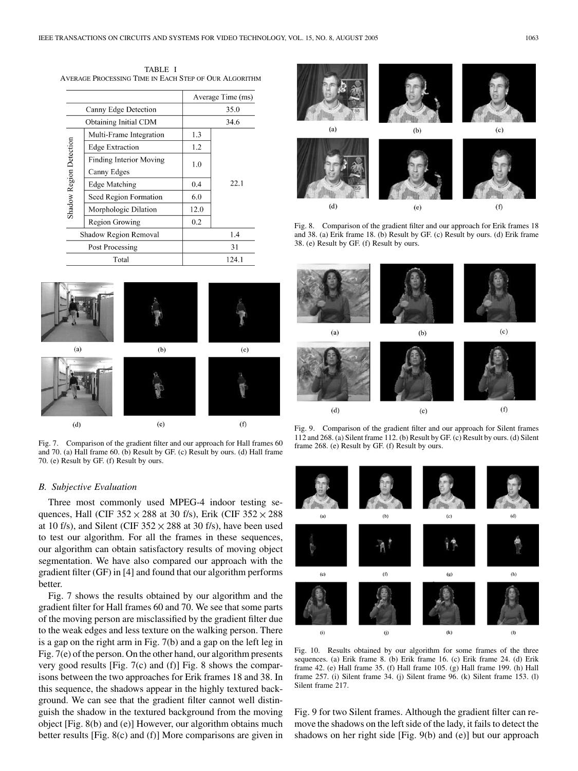TABLE I AVERAGE PROCESSING TIME IN EACH STEP OF OUR ALGORITHM

|                         |                                |      | Average Time (ms) |  |
|-------------------------|--------------------------------|------|-------------------|--|
|                         | Canny Edge Detection           |      | 35.0              |  |
|                         | <b>Obtaining Initial CDM</b>   |      | 34.6              |  |
| Shadow Region Detection | Multi-Frame Integration        | 1.3  |                   |  |
|                         | <b>Edge Extraction</b>         | 1.2  |                   |  |
|                         | <b>Finding Interior Moving</b> | 1.0  |                   |  |
|                         | Canny Edges                    |      |                   |  |
|                         | <b>Edge Matching</b>           | 0.4  | 22.1              |  |
|                         | Seed Region Formation          | 6.0  |                   |  |
|                         | Morphologic Dilation           | 12.0 |                   |  |
|                         | Region Growing                 | 0.2  |                   |  |
| Shadow Region Removal   |                                |      | 1.4               |  |
| <b>Post Processing</b>  |                                |      | 31                |  |
| Total                   |                                |      | 124.1             |  |



Fig. 7. Comparison of the gradient filter and our approach for Hall frames 60 and 70. (a) Hall frame 60. (b) Result by GF. (c) Result by ours. (d) Hall frame 70. (e) Result by GF. (f) Result by ours.

#### *B. Subjective Evaluation*

Three most commonly used MPEG-4 indoor testing sequences, Hall (CIF  $352 \times 288$  at 30 f/s), Erik (CIF  $352 \times 288$ at 10 f/s), and Silent (CIF  $352 \times 288$  at 30 f/s), have been used to test our algorithm. For all the frames in these sequences, our algorithm can obtain satisfactory results of moving object segmentation. We have also compared our approach with the gradient filter (GF) in [[4\]](#page-6-0) and found that our algorithm performs better.

Fig. 7 shows the results obtained by our algorithm and the gradient filter for Hall frames 60 and 70. We see that some parts of the moving person are misclassified by the gradient filter due to the weak edges and less texture on the walking person. There is a gap on the right arm in Fig. 7(b) and a gap on the left leg in Fig. 7(e) of the person. On the other hand, our algorithm presents very good results [Fig. 7(c) and (f)] Fig. 8 shows the comparisons between the two approaches for Erik frames 18 and 38. In this sequence, the shadows appear in the highly textured background. We can see that the gradient filter cannot well distinguish the shadow in the textured background from the moving object [Fig. 8(b) and (e)] However, our algorithm obtains much better results [Fig. 8(c) and (f)] More comparisons are given in



 $(d)$ 

 $(f)$ 

Fig. 8. Comparison of the gradient filter and our approach for Erik frames 18 and 38. (a) Erik frame 18. (b) Result by GF. (c) Result by ours. (d) Erik frame 38. (e) Result by GF. (f) Result by ours.

 $(e)$ 



Fig. 9. Comparison of the gradient filter and our approach for Silent frames 112 and 268. (a) Silent frame 112. (b) Result by GF. (c) Result by ours. (d) Silent frame 268. (e) Result by GF. (f) Result by ours.



Fig. 10. Results obtained by our algorithm for some frames of the three sequences. (a) Erik frame 8. (b) Erik frame 16. (c) Erik frame 24. (d) Erik frame 42. (e) Hall frame 35. (f) Hall frame 105. (g) Hall frame 199. (h) Hall frame 257. (i) Silent frame 34. (j) Silent frame 96. (k) Silent frame 153. (l) Silent frame 217.

Fig. 9 for two Silent frames. Although the gradient filter can remove the shadows on the left side of the lady, it fails to detect the shadows on her right side [Fig. 9(b) and (e)] but our approach